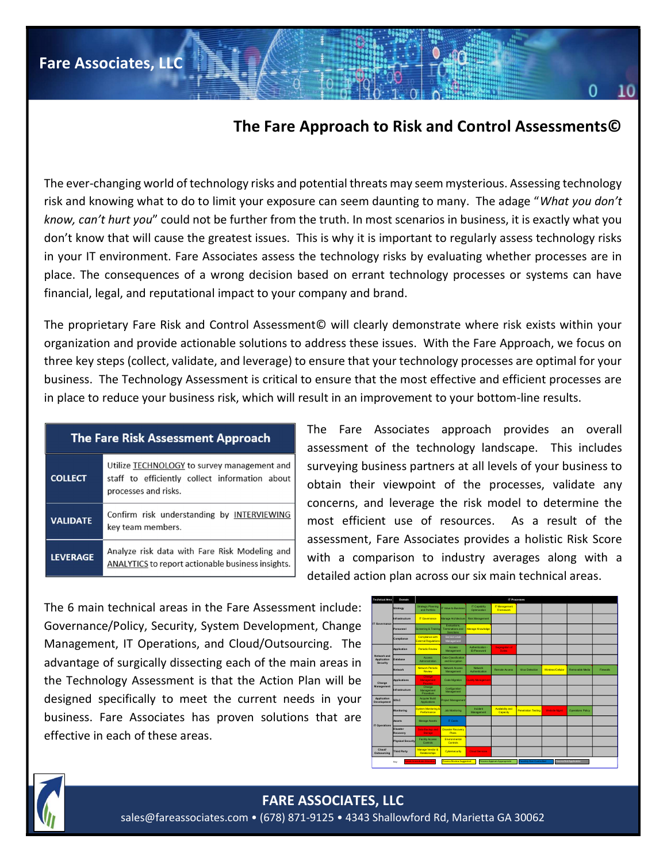The ever-changing world of technology risks and potential threats may seem mysterious. Assessing technology risk and knowing what to do to limit your exposure can seem daunting to many. The adage "What you don't know, can't hurt you" could not be further from the truth. In most scenarios in business, it is exactly what you don't know that will cause the greatest issues. This is why it is important to regularly assess technology risks in your IT environment. Fare Associates assess the technology risks by evaluating whether processes are in place. The consequences of a wrong decision based on errant technology processes or systems can have financial, legal, and reputational impact to your company and brand.

The proprietary Fare Risk and Control Assessment© will clearly demonstrate where risk exists within your organization and provide actionable solutions to address these issues. With the Fare Approach, we focus on three key steps (collect, validate, and leverage) to ensure that your technology processes are optimal for your business. The Technology Assessment is critical to ensure that the most effective and efficient processes are in place to reduce your business risk, which will result in an improvement to your bottom-line results.

| <b>The Fare Risk Assessment Approach</b> |                                                                                                                       |
|------------------------------------------|-----------------------------------------------------------------------------------------------------------------------|
| <b>COLLECT</b>                           | Utilize TECHNOLOGY to survey management and<br>staff to efficiently collect information about<br>processes and risks. |
| <b>VALIDATE</b>                          | Confirm risk understanding by INTERVIEWING<br>key team members.                                                       |
| <b>LEVERAGE</b>                          | Analyze risk data with Fare Risk Modeling and<br>ANALYTICS to report actionable business insights.                    |

Fare Associates, LLC

The Fare Associates approach provides an overall assessment of the technology landscape. This includes surveying business partners at all levels of your business to obtain their viewpoint of the processes, validate any concerns, and leverage the risk model to determine the most efficient use of resources. As a result of the assessment, Fare Associates provides a holistic Risk Score with a comparison to industry averages along with a detailed action plan across our six main technical areas. Figure 1.5 With the Fare Approach, we focus on<br>
technology processes are optimal for your<br>
e most effective and efficient processes are<br>
verment to your bottom-line results.<br>
ociates approach provides an overall<br>
the techn Network Authorizes Management to your bottom-line results.<br>
Dociates approach provides an overall<br>
the technology landscape. This includes<br>
sexperiment of the processes, validate any<br>
everage the risk model to determine th The most transference is exists within your<br>
e issues. With the Fare Approach, we focus on<br>
your technology processes are optimal for your<br>
the most effective and efficient processes are<br>
provement to your bottom-line resu

The 6 main technical areas in the Fare Assessment include: Governance/Policy, Security, System Development, Change Management, IT Operations, and Cloud/Outsourcing. The advantage of surgically dissecting each of the main areas in the Technology Assessment is that the Action Plan will be designed specifically to meet the current needs in your business. Fare Associates has proven solutions that are effective in each of these areas.



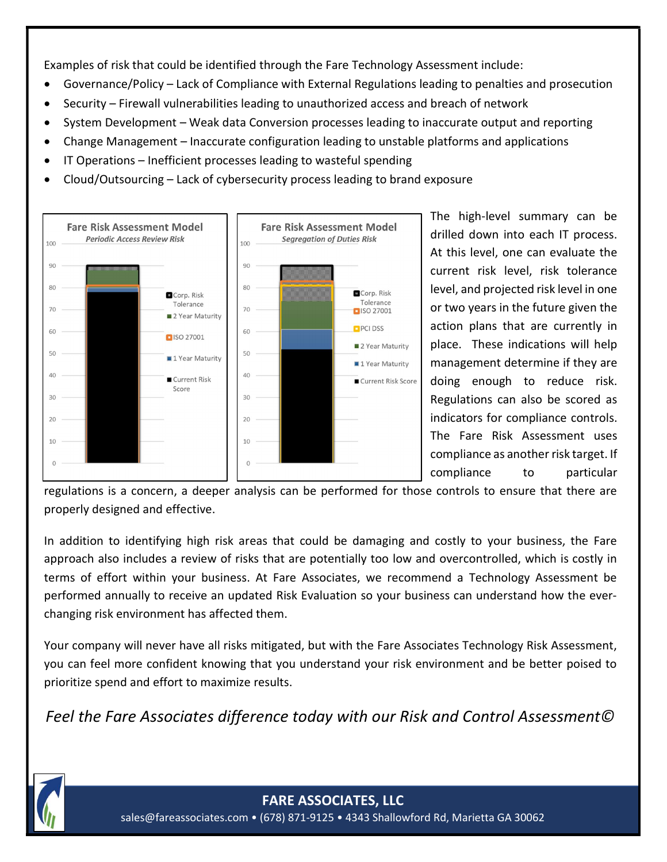Examples of risk that could be identified through the Fare Technology Assessment include:

- Governance/Policy Lack of Compliance with External Regulations leading to penalties and prosecution
- Security Firewall vulnerabilities leading to unauthorized access and breach of network
- System Development Weak data Conversion processes leading to inaccurate output and reporting
- Change Management Inaccurate configuration leading to unstable platforms and applications
- IT Operations Inefficient processes leading to wasteful spending
- Cloud/Outsourcing Lack of cybersecurity process leading to brand exposure



The high-level summary can be drilled down into each IT process. At this level, one can evaluate the current risk level, risk tolerance level, and projected risk level in one or two years in the future given the action plans that are currently in place. These indications will help management determine if they are doing enough to reduce risk. Regulations can also be scored as indicators for compliance controls. The Fare Risk Assessment uses compliance as another risk target. If compliance to particular

regulations is a concern, a deeper analysis can be performed for those controls to ensure that there are properly designed and effective.

In addition to identifying high risk areas that could be damaging and costly to your business, the Fare approach also includes a review of risks that are potentially too low and overcontrolled, which is costly in terms of effort within your business. At Fare Associates, we recommend a Technology Assessment be performed annually to receive an updated Risk Evaluation so your business can understand how the everchanging risk environment has affected them.

Your company will never have all risks mitigated, but with the Fare Associates Technology Risk Assessment, you can feel more confident knowing that you understand your risk environment and be better poised to prioritize spend and effort to maximize results.

Feel the Fare Associates difference today with our Risk and Control Assessment©